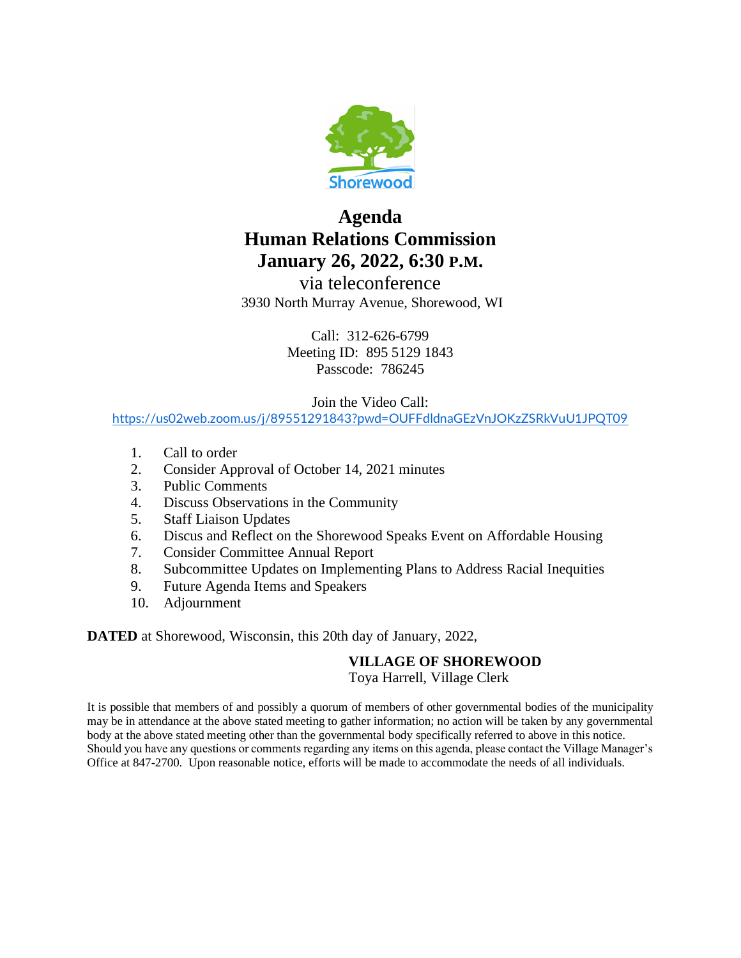

# **Agenda Human Relations Commission January 26, 2022, 6:30 P.M.**

via teleconference 3930 North Murray Avenue, Shorewood, WI

> Call: 312-626-6799 Meeting ID: 895 5129 1843 Passcode: 786245

> > Join the Video Call:

<https://us02web.zoom.us/j/89551291843?pwd=OUFFdldnaGEzVnJOKzZSRkVuU1JPQT09>

- 1. Call to order
- 2. Consider Approval of October 14, 2021 minutes
- 3. Public Comments
- 4. Discuss Observations in the Community
- 5. Staff Liaison Updates
- 6. Discus and Reflect on the Shorewood Speaks Event on Affordable Housing
- 7. Consider Committee Annual Report
- 8. Subcommittee Updates on Implementing Plans to Address Racial Inequities
- 9. Future Agenda Items and Speakers
- 10. Adjournment

**DATED** at Shorewood, Wisconsin, this 20th day of January, 2022,

### **VILLAGE OF SHOREWOOD**

Toya Harrell, Village Clerk

It is possible that members of and possibly a quorum of members of other governmental bodies of the municipality may be in attendance at the above stated meeting to gather information; no action will be taken by any governmental body at the above stated meeting other than the governmental body specifically referred to above in this notice. Should you have any questions or comments regarding any items on this agenda, please contact the Village Manager's Office at 847-2700. Upon reasonable notice, efforts will be made to accommodate the needs of all individuals.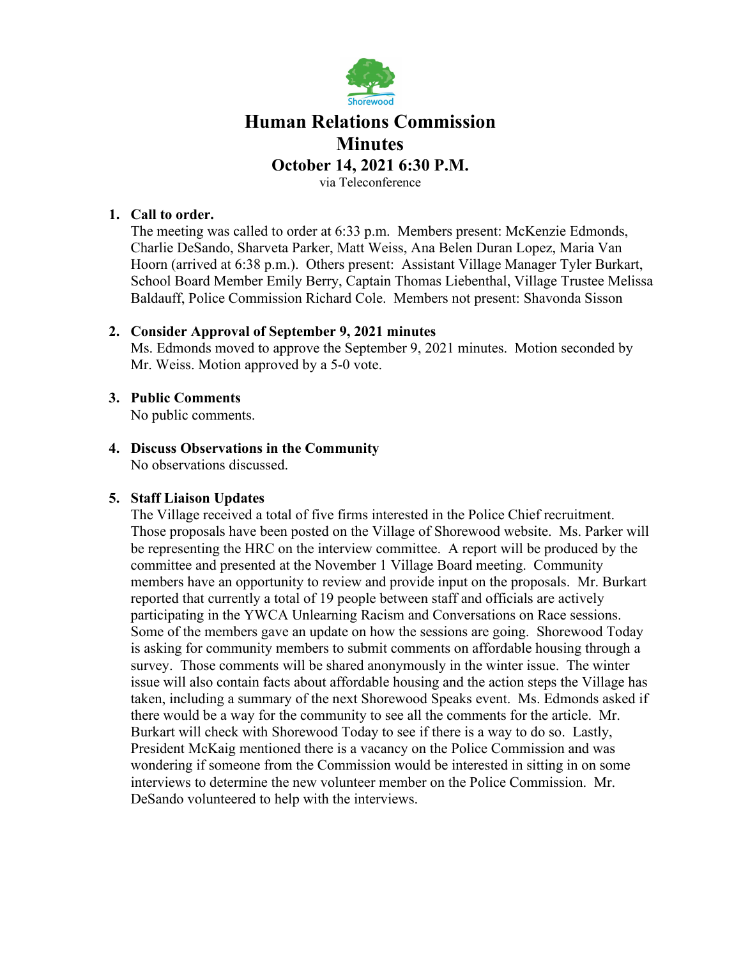

## **Human Relations Commission Minutes**

#### **October 14, 2021 6:30 P.M.**

via Teleconference

#### **1. Call to order.**

The meeting was called to order at 6:33 p.m. Members present: McKenzie Edmonds, Charlie DeSando, Sharveta Parker, Matt Weiss, Ana Belen Duran Lopez, Maria Van Hoorn (arrived at 6:38 p.m.). Others present: Assistant Village Manager Tyler Burkart, School Board Member Emily Berry, Captain Thomas Liebenthal, Village Trustee Melissa Baldauff, Police Commission Richard Cole. Members not present: Shavonda Sisson

#### **2. Consider Approval of September 9, 2021 minutes**

Ms. Edmonds moved to approve the September 9, 2021 minutes. Motion seconded by Mr. Weiss. Motion approved by a 5-0 vote.

### **3. Public Comments**

No public comments.

#### **4. Discuss Observations in the Community** No observations discussed.

### **5. Staff Liaison Updates**

The Village received a total of five firms interested in the Police Chief recruitment. Those proposals have been posted on the Village of Shorewood website. Ms. Parker will be representing the HRC on the interview committee. A report will be produced by the committee and presented at the November 1 Village Board meeting. Community members have an opportunity to review and provide input on the proposals. Mr. Burkart reported that currently a total of 19 people between staff and officials are actively participating in the YWCA Unlearning Racism and Conversations on Race sessions. Some of the members gave an update on how the sessions are going. Shorewood Today is asking for community members to submit comments on affordable housing through a survey. Those comments will be shared anonymously in the winter issue. The winter issue will also contain facts about affordable housing and the action steps the Village has taken, including a summary of the next Shorewood Speaks event. Ms. Edmonds asked if there would be a way for the community to see all the comments for the article. Mr. Burkart will check with Shorewood Today to see if there is a way to do so. Lastly, President McKaig mentioned there is a vacancy on the Police Commission and was wondering if someone from the Commission would be interested in sitting in on some interviews to determine the new volunteer member on the Police Commission. Mr. DeSando volunteered to help with the interviews.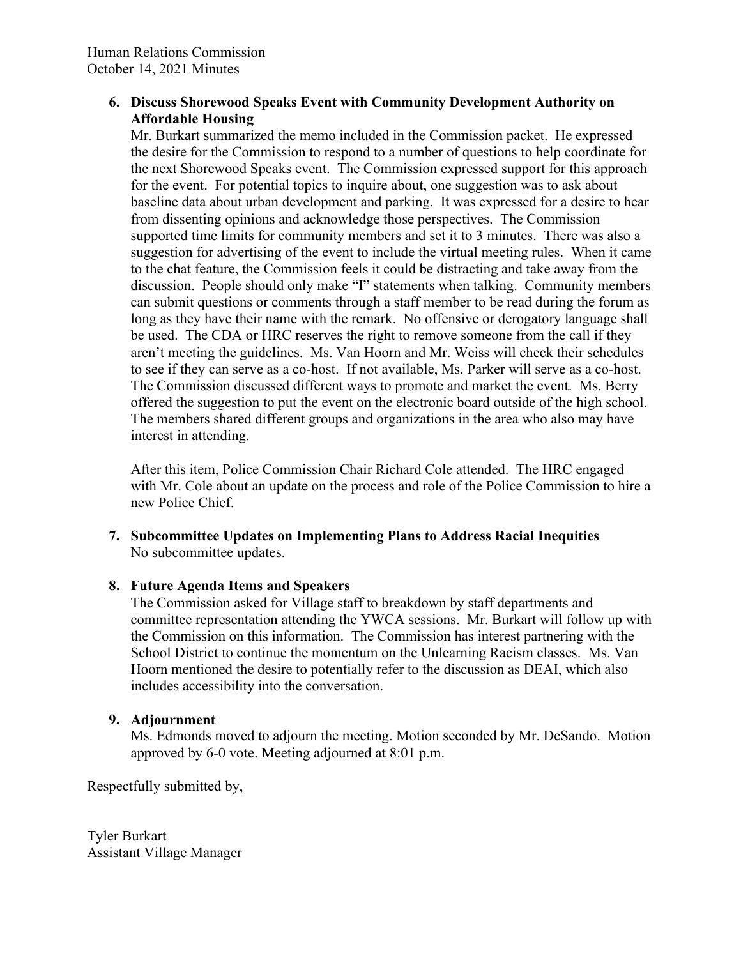### **6. Discuss Shorewood Speaks Event with Community Development Authority on Affordable Housing**

Mr. Burkart summarized the memo included in the Commission packet. He expressed the desire for the Commission to respond to a number of questions to help coordinate for the next Shorewood Speaks event. The Commission expressed support for this approach for the event. For potential topics to inquire about, one suggestion was to ask about baseline data about urban development and parking. It was expressed for a desire to hear from dissenting opinions and acknowledge those perspectives. The Commission supported time limits for community members and set it to 3 minutes. There was also a suggestion for advertising of the event to include the virtual meeting rules. When it came to the chat feature, the Commission feels it could be distracting and take away from the discussion. People should only make "I" statements when talking. Community members can submit questions or comments through a staff member to be read during the forum as long as they have their name with the remark. No offensive or derogatory language shall be used. The CDA or HRC reserves the right to remove someone from the call if they aren't meeting the guidelines. Ms. Van Hoorn and Mr. Weiss will check their schedules to see if they can serve as a co-host. If not available, Ms. Parker will serve as a co-host. The Commission discussed different ways to promote and market the event. Ms. Berry offered the suggestion to put the event on the electronic board outside of the high school. The members shared different groups and organizations in the area who also may have interest in attending.

After this item, Police Commission Chair Richard Cole attended. The HRC engaged with Mr. Cole about an update on the process and role of the Police Commission to hire a new Police Chief.

**7. Subcommittee Updates on Implementing Plans to Address Racial Inequities** No subcommittee updates.

### **8. Future Agenda Items and Speakers**

The Commission asked for Village staff to breakdown by staff departments and committee representation attending the YWCA sessions. Mr. Burkart will follow up with the Commission on this information. The Commission has interest partnering with the School District to continue the momentum on the Unlearning Racism classes. Ms. Van Hoorn mentioned the desire to potentially refer to the discussion as DEAI, which also includes accessibility into the conversation.

#### **9. Adjournment**

Ms. Edmonds moved to adjourn the meeting. Motion seconded by Mr. DeSando. Motion approved by 6-0 vote. Meeting adjourned at 8:01 p.m.

Respectfully submitted by,

Tyler Burkart Assistant Village Manager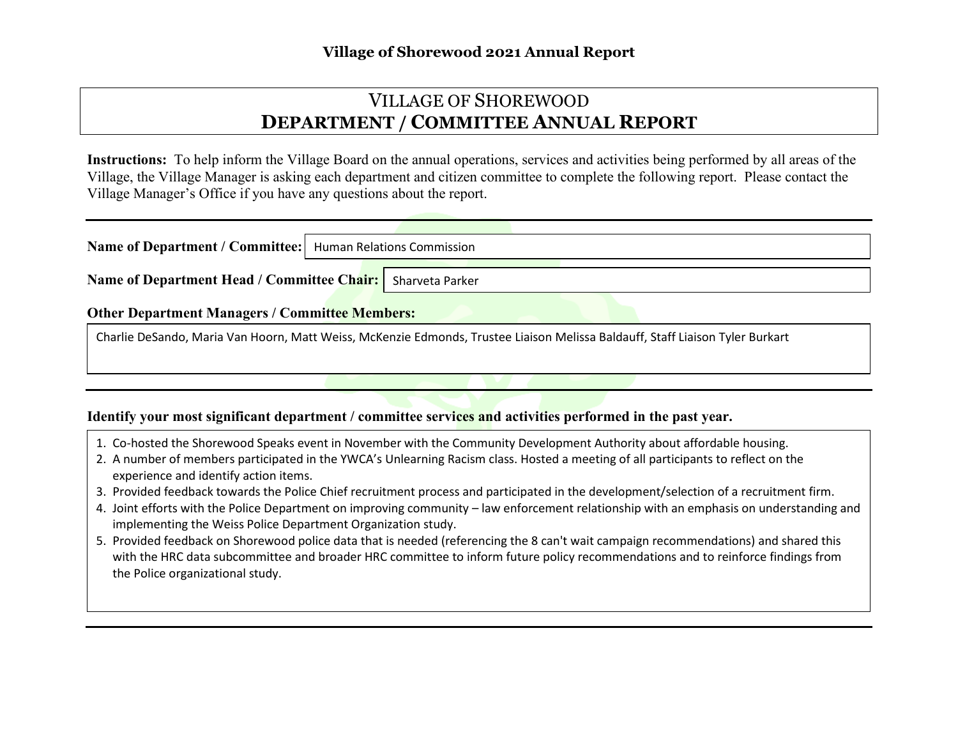## VILLAGE OF SHOREWOOD **DEPARTMENT / COMMITTEE ANNUAL REPORT**

**Instructions:** To help inform the Village Board on the annual operations, services and activities being performed by all areas of the Village, the Village Manager is asking each department and citizen committee to complete the following report. Please contact the Village Manager's Office if you have any questions about the report.

| Name of Department / Committee:   Human Relations Commission                                                                  |  |  |  |  |  |  |
|-------------------------------------------------------------------------------------------------------------------------------|--|--|--|--|--|--|
| Name of Department Head / Committee Chair: Sharveta Parker                                                                    |  |  |  |  |  |  |
| <b>Other Department Managers / Committee Members:</b>                                                                         |  |  |  |  |  |  |
| Charlie DeSando, Maria Van Hoorn, Matt Weiss, McKenzie Edmonds, Trustee Liaison Melissa Baldauff, Staff Liaison Tyler Burkart |  |  |  |  |  |  |

#### **Identify your most significant department / committee services and activities performed in the past year.**

- 1. Co-hosted the Shorewood Speaks event in November with the Community Development Authority about affordable housing.
- 2. A number of members participated in the YWCA's Unlearning Racism class. Hosted a meeting of all participants to reflect on the experience and identify action items.
- 3. Provided feedback towards the Police Chief recruitment process and participated in the development/selection of a recruitment firm.
- 4. Joint efforts with the Police Department on improving community law enforcement relationship with an emphasis on understanding and implementing the Weiss Police Department Organization study.
- 5. Provided feedback on Shorewood police data that is needed (referencing the 8 can't wait campaign recommendations) and shared this with the HRC data subcommittee and broader HRC committee to inform future policy recommendations and to reinforce findings from the Police organizational study.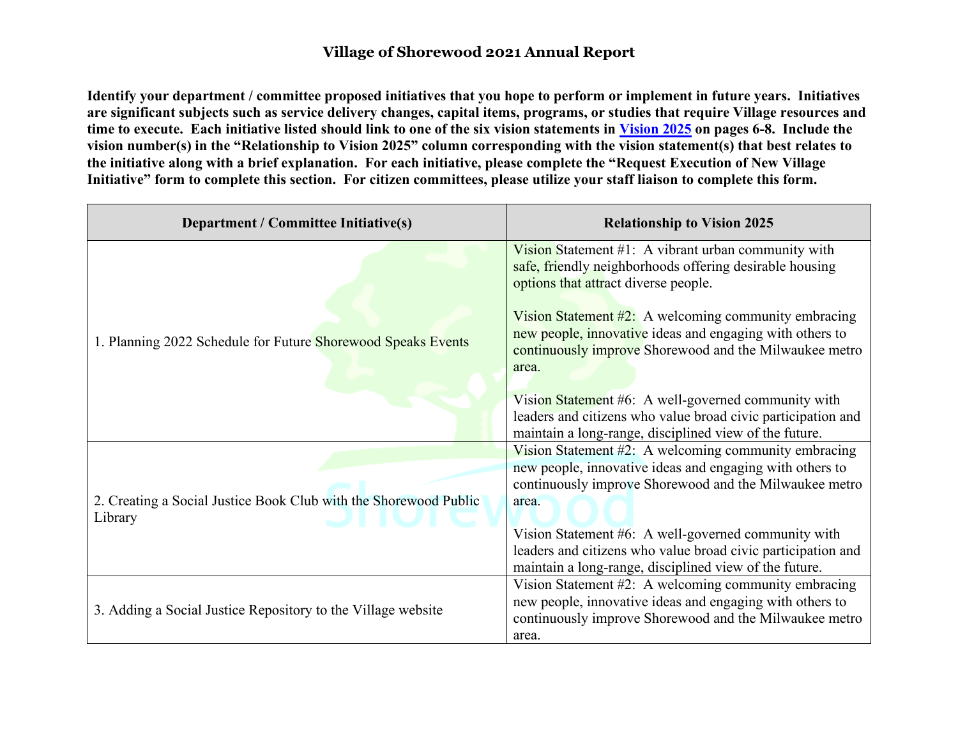## **Village of Shorewood 2021 Annual Report**

**Identify your department / committee proposed initiatives that you hope to perform or implement in future years. Initiatives are significant subjects such as service delivery changes, capital items, programs, or studies that require Village resources and time to execute. Each initiative listed should link to one of the six vision statements in [Vision 2025](http://www.villageofshorewood.org/DocumentCenter/View/3237) on pages 6-8. Include the vision number(s) in the "Relationship to Vision 2025" column corresponding with the vision statement(s) that best relates to the initiative along with a brief explanation. For each initiative, please complete the "Request Execution of New Village Initiative" form to complete this section. For citizen committees, please utilize your staff liaison to complete this form.**

| <b>Department / Committee Initiative(s)</b>                                 | <b>Relationship to Vision 2025</b>                                                                                                                                                                                                                                                                                                                  |  |  |  |
|-----------------------------------------------------------------------------|-----------------------------------------------------------------------------------------------------------------------------------------------------------------------------------------------------------------------------------------------------------------------------------------------------------------------------------------------------|--|--|--|
| 1. Planning 2022 Schedule for Future Shorewood Speaks Events                | Vision Statement $#1$ : A vibrant urban community with<br>safe, friendly neighborhoods offering desirable housing<br>options that attract diverse people.<br>Vision Statement $#2$ : A welcoming community embracing<br>new people, innovative ideas and engaging with others to<br>continuously improve Shorewood and the Milwaukee metro<br>area. |  |  |  |
|                                                                             | Vision Statement #6: A well-governed community with<br>leaders and citizens who value broad civic participation and<br>maintain a long-range, disciplined view of the future.                                                                                                                                                                       |  |  |  |
| 2. Creating a Social Justice Book Club with the Shorewood Public<br>Library | Vision Statement #2: A welcoming community embracing<br>new people, innovative ideas and engaging with others to<br>continuously improve Shorewood and the Milwaukee metro<br>area.                                                                                                                                                                 |  |  |  |
|                                                                             | Vision Statement #6: A well-governed community with<br>leaders and citizens who value broad civic participation and<br>maintain a long-range, disciplined view of the future.                                                                                                                                                                       |  |  |  |
| 3. Adding a Social Justice Repository to the Village website                | Vision Statement #2: A welcoming community embracing<br>new people, innovative ideas and engaging with others to<br>continuously improve Shorewood and the Milwaukee metro<br>area.                                                                                                                                                                 |  |  |  |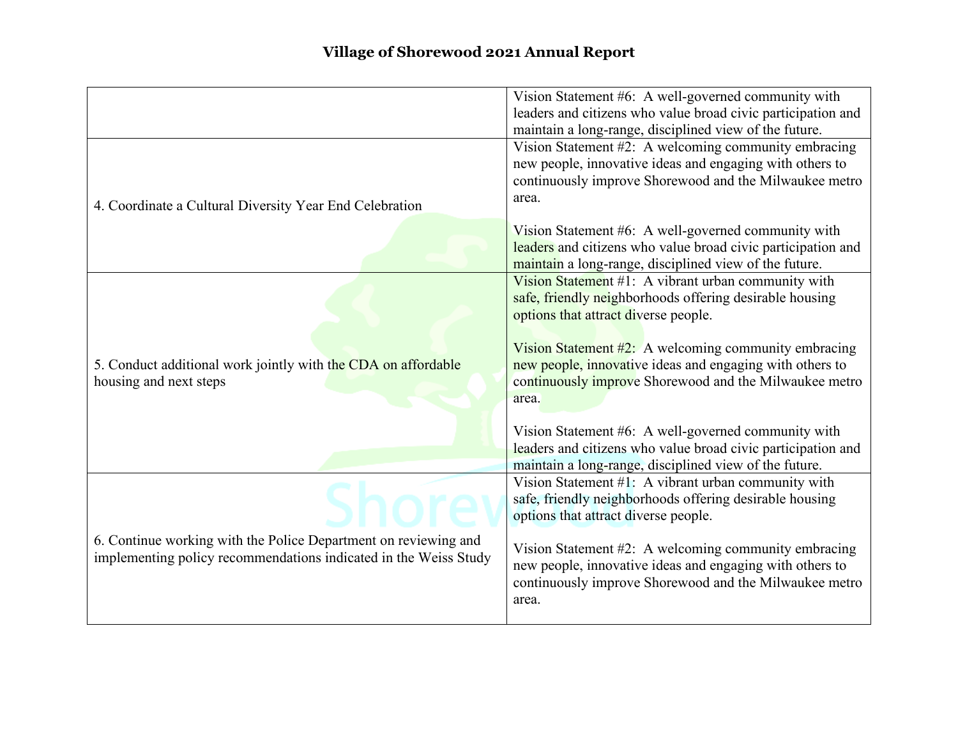|                                                                  | Vision Statement #6: A well-governed community with                                                                    |
|------------------------------------------------------------------|------------------------------------------------------------------------------------------------------------------------|
|                                                                  | leaders and citizens who value broad civic participation and<br>maintain a long-range, disciplined view of the future. |
|                                                                  | Vision Statement #2: A welcoming community embracing                                                                   |
|                                                                  | new people, innovative ideas and engaging with others to                                                               |
|                                                                  | continuously improve Shorewood and the Milwaukee metro                                                                 |
| 4. Coordinate a Cultural Diversity Year End Celebration          | area.                                                                                                                  |
|                                                                  | Vision Statement #6: A well-governed community with                                                                    |
|                                                                  | leaders and citizens who value broad civic participation and                                                           |
|                                                                  | maintain a long-range, disciplined view of the future.                                                                 |
|                                                                  | Vision Statement #1: A vibrant urban community with                                                                    |
|                                                                  | safe, friendly neighborhoods offering desirable housing<br>options that attract diverse people.                        |
|                                                                  |                                                                                                                        |
|                                                                  | Vision Statement $#2$ : A welcoming community embracing                                                                |
| 5. Conduct additional work jointly with the CDA on affordable    | new people, innovative ideas and engaging with others to                                                               |
| housing and next steps                                           | continuously improve Shorewood and the Milwaukee metro                                                                 |
|                                                                  | area.                                                                                                                  |
|                                                                  | Vision Statement #6: A well-governed community with                                                                    |
|                                                                  | leaders and citizens who value broad civic participation and                                                           |
|                                                                  | maintain a long-range, disciplined view of the future.                                                                 |
|                                                                  | Vision Statement #1: A vibrant urban community with                                                                    |
|                                                                  | safe, friendly neighborhoods offering desirable housing                                                                |
|                                                                  | options that attract diverse people.                                                                                   |
| 6. Continue working with the Police Department on reviewing and  | Vision Statement #2: A welcoming community embracing                                                                   |
| implementing policy recommendations indicated in the Weiss Study | new people, innovative ideas and engaging with others to                                                               |
|                                                                  | continuously improve Shorewood and the Milwaukee metro                                                                 |
|                                                                  | area.                                                                                                                  |
|                                                                  |                                                                                                                        |